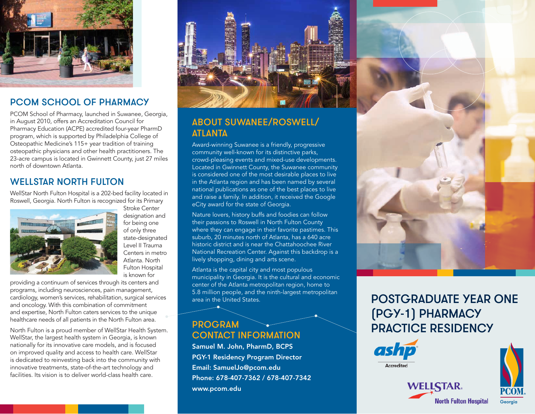

#### PCOM SCHOOL OF PHARMACY

PCOM School of Pharmacy, launched in Suwanee, Georgia, in August 2010, offers an Accreditation Council for Pharmacy Education (ACPE) accredited four-year PharmD program, which is supported by Philadelphia College of Osteopathic Medicine's 115+ year tradition of training osteopathic physicians and other health practitioners. The 23-acre campus is located in Gwinnett County, just 27 miles north of downtown Atlanta.

#### WELL STAR NORTH FUITON

WellStar North Fulton Hospital is a 202-bed facility located in Roswell, Georgia. North Fulton is recognized for its Primary



designation and for being one of only three state-designated Level II Trauma Centers in metro Atlanta. North Fulton Hospital is known for

Stroke Center

providing a continuum of services through its centers and programs, including neurosciences, pain management, cardiology, women's services, rehabilitation, surgical services and oncology. With this combination of commitment and expertise, North Fulton caters services to the unique healthcare needs of all patients in the North Fulton area.

North Fulton is a proud member of WellStar Health System. WellStar, the largest health system in Georgia, is known nationally for its innovative care models, and is focused on improved quality and access to health care. WellStar is dedicated to reinvesting back into the community with innovative treatments, state-of-the-art technology and facilities. Its vision is to deliver world-class health care.



#### ABOUT SUWANEE/ROSWELL/ ATLANTA

Award-winning Suwanee is a friendly, progressive community well-known for its distinctive parks, crowd-pleasing events and mixed-use developments. Located in Gwinnett County, the Suwanee community is considered one of the most desirable places to live in the Atlanta region and has been named by several national publications as one of the best places to live and raise a family. In addition, it received the Google eCity award for the state of Georgia.

Nature lovers, history buffs and foodies can follow their passions to Roswell in North Fulton County where they can engage in their favorite pastimes. This suburb, 20 minutes north of Atlanta, has a 640 acre historic district and is near the Chattahoochee River National Recreation Center. Against this backdrop is a lively shopping, dining and arts scene.

Atlanta is the capital city and most populous municipality in Georgia. It is the cultural and economic center of the Atlanta metropolitan region, home to 5.8 million people, and the ninth-largest metropolitan area in the United States.

#### PROGRAM CONTACT INFORMATION

Samuel M. John, PharmD, BCPS PGY-1 Residency Program Director Email: SamuelJo@pcom.edu Phone: 678-407-7362 / 678-407-7342 www.pcom.edu



# POSTGRADUATE YEAR ONE (PGY-1) PHARMACY PRACTICE RESIDENCY

**WELLSTAR.** 

**North Fulton Hospital**